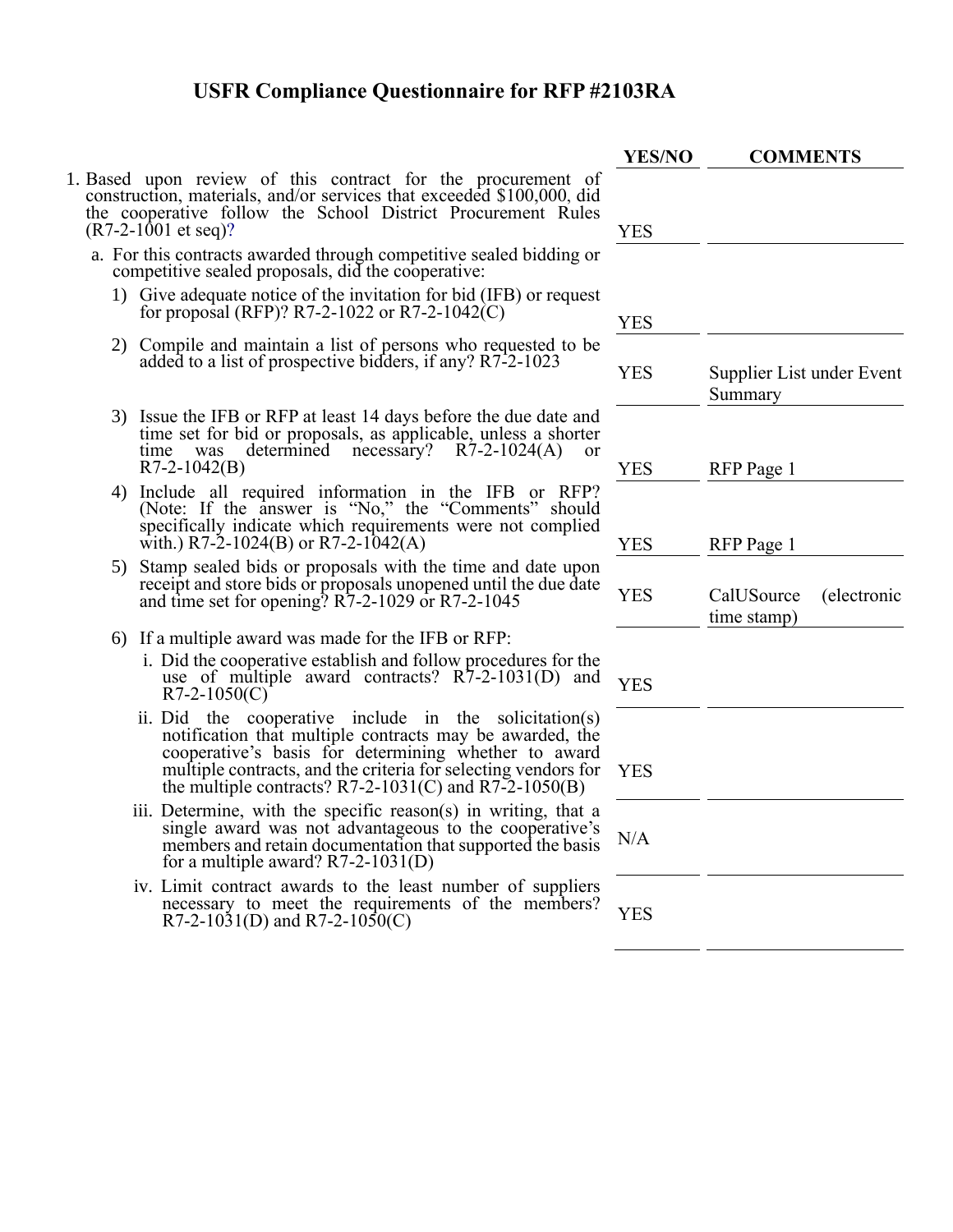- 1. Based upon review of this contract for the procurement of construction, materials, and/or services that exceeded \$100,000, did the cooperative follow the School District Procurement Rules  $(R7-2-1001$  et seq)?
	- a. For this contracts awarded through competitive sealed bidding or competitive sealed proposals, did the cooperative:
		- 1) Give adequate notice of the invitation for bid (IFB) or reques for proposal (RFP)? R7-2-1022 or R7-2-1042(C)
		- 2) Compile and maintain a list of persons who requested to be added to a list of prospective bidders, if any?  $R7-2-1023$
		- 3) Issue the IFB or RFP at least 14 days before the due date and time set for bid or proposals, as applicable, unless a shorter time was determined necessary? R7-2-1024(A) or  $R7-2-1042(B)$
		- 4) Include all required information in the IFB or RFP? (Note: If the answer is "No," the "Comments" should specifically indicate which requirements were not complied with.) R7-2-1024(B) or R7-2-1042(A)
		- 5) Stamp sealed bids or proposals with the time and date upon receipt and store bids or proposals unopened until the due date and time set for opening?  $R7-2-1029$  or  $R7-2-1045$
		- 6) If a multiple award was made for the IFB or RFP:
			- i. Did the cooperative establish and follow procedures for the use of multiple award contracts? R7-2-1031(D) and YES<br>R7-2-1050(C)
			- ii. Did the cooperative include in the solicitation(s) notification that multiple contracts may be awarded, the cooperative's basis for determining whether to award multiple contracts, and the criteria for selecting vendors for the multiple contracts?  $R7-2-1031(C)$  and  $R7-2-1050(B)$
			- iii. Determine, with the specific reason(s) in writing, that a single award was not advantageous to the cooperative's members and retain documentation that supported the basis for a multiple award? R7-2-1031(D)
			- iv. Limit contract awards to the least number of suppliers necessary to meet the requirements of the members? R7-2-1031(D) and R7-2-1050(C) R7-2-1051 YES

| <b>YES/NO</b> | <b>COMMENTS</b>                          |  |  |
|---------------|------------------------------------------|--|--|
|               |                                          |  |  |
| <b>YES</b>    |                                          |  |  |
|               |                                          |  |  |
| <b>YES</b>    |                                          |  |  |
| <b>YES</b>    | Supplier List under Event<br>Summary     |  |  |
|               |                                          |  |  |
| <b>YES</b>    | RFP Page 1                               |  |  |
| <b>YES</b>    | RFP Page 1                               |  |  |
| <b>YES</b>    | (electronic<br>CalUSource<br>time stamp) |  |  |
|               |                                          |  |  |
| <b>YES</b>    |                                          |  |  |
|               |                                          |  |  |
| <b>YES</b>    |                                          |  |  |
| N/A           |                                          |  |  |
|               |                                          |  |  |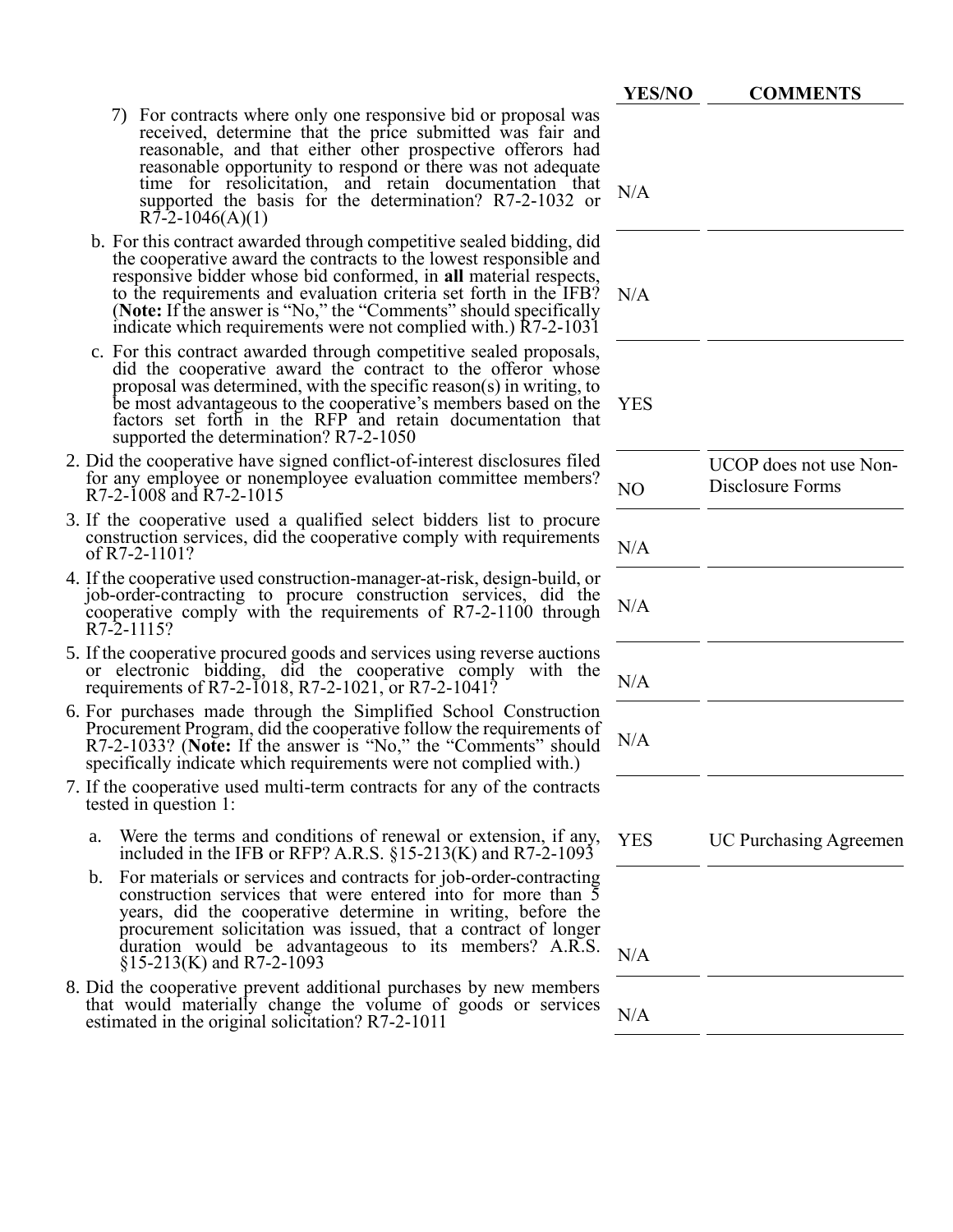|                                                                                                                                                                                                                                                                                                                                                                                                                          | <b>YES/NO</b> | <b>COMMENTS</b>                            |
|--------------------------------------------------------------------------------------------------------------------------------------------------------------------------------------------------------------------------------------------------------------------------------------------------------------------------------------------------------------------------------------------------------------------------|---------------|--------------------------------------------|
| For contracts where only one responsive bid or proposal was<br>$\gamma$<br>received, determine that the price submitted was fair and<br>reasonable, and that either other prospective offerors had<br>reasonable opportunity to respond or there was not adequate<br>time for resolicitation, and retain documentation that<br>supported the basis for the determination? R7-2-1032 or<br>$R7-2-1046(A)(1)$              | N/A           |                                            |
| b. For this contract awarded through competitive sealed bidding, did<br>the cooperative award the contracts to the lowest responsible and<br>responsive bidder whose bid conformed, in all material respects,<br>to the requirements and evaluation criteria set forth in the IFB?<br>(Note: If the answer is "No," the "Comments" should specifically<br>indicate which requirements were not complied with.) R7-2-1031 | N/A           |                                            |
| c. For this contract awarded through competitive sealed proposals,<br>did the cooperative award the contract to the offeror whose<br>proposal was determined, with the specific reason(s) in writing, to<br>be most advantageous to the cooperative's members based on the<br>factors set forth in the RFP and retain documentation that<br>supported the determination? R7-2-1050                                       | <b>YES</b>    |                                            |
| 2. Did the cooperative have signed conflict-of-interest disclosures filed<br>for any employee or nonemployee evaluation committee members?<br>R7-2-1008 and R7-2-1015                                                                                                                                                                                                                                                    | NO            | UCOP does not use Non-<br>Disclosure Forms |
| 3. If the cooperative used a qualified select bidders list to procure<br>construction services, did the cooperative comply with requirements<br>of R7-2-1101?                                                                                                                                                                                                                                                            | N/A           |                                            |
| 4. If the cooperative used construction-manager-at-risk, design-build, or<br>job-order-contracting to procure construction services, did the<br>cooperative comply with the requirements of R7-2-1100 through<br>$R7-2-1115?$                                                                                                                                                                                            | N/A           |                                            |
| 5. If the cooperative procured goods and services using reverse auctions<br>or electronic bidding, did the cooperative comply with the<br>requirements of R7-2-1018, R7-2-1021, or R7-2-1041?                                                                                                                                                                                                                            | N/A           |                                            |
| 6. For purchases made through the Simplified School Construction<br>Procurement Program, did the cooperative follow the requirements of<br>R7-2-1033? (Note: If the answer is "No," the "Comments" should<br>specifically indicate which requirements were not complied with.)                                                                                                                                           | N/A           |                                            |
| 7. If the cooperative used multi-term contracts for any of the contracts<br>tested in question 1:                                                                                                                                                                                                                                                                                                                        |               |                                            |
| Were the terms and conditions of renewal or extension, if any,<br>a.<br>included in the IFB or RFP? A.R.S. $\S15-213(K)$ and R7-2-1093                                                                                                                                                                                                                                                                                   | <b>YES</b>    | <b>UC Purchasing Agreemen</b>              |
| b. For materials or services and contracts for job-order-contracting<br>construction services that were entered into for more than 5<br>years, did the cooperative determine in writing, before the<br>procurement solicitation was issued, that a contract of longer<br>duration would be advantageous to its members? A.R.S.<br>$\S15-213(K)$ and R7-2-1093                                                            | N/A           |                                            |
| 8. Did the cooperative prevent additional purchases by new members<br>that would materially change the volume of goods or services<br>estimated in the original solicitation? R7-2-1011                                                                                                                                                                                                                                  | N/A           |                                            |